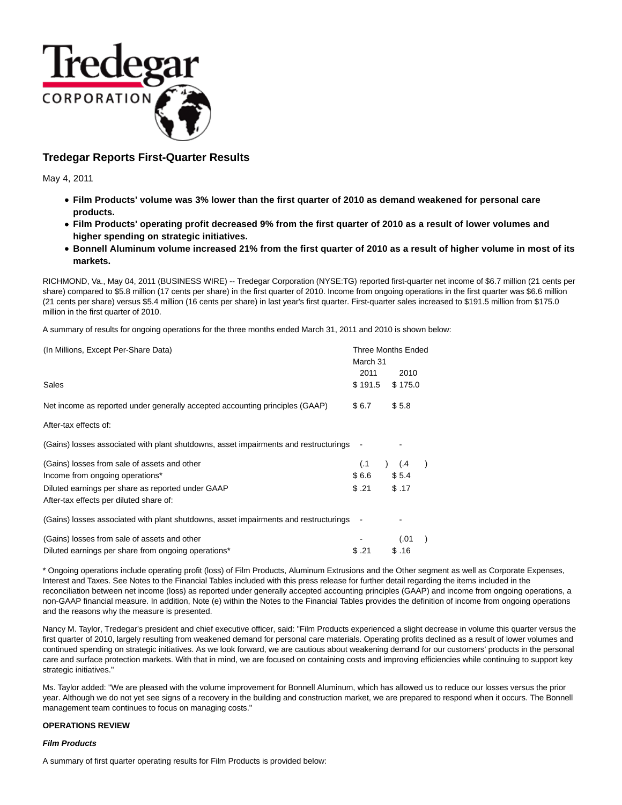

# **Tredegar Reports First-Quarter Results**

May 4, 2011

- **Film Products' volume was 3% lower than the first quarter of 2010 as demand weakened for personal care products.**
- **Film Products' operating profit decreased 9% from the first quarter of 2010 as a result of lower volumes and higher spending on strategic initiatives.**
- **Bonnell Aluminum volume increased 21% from the first quarter of 2010 as a result of higher volume in most of its markets.**

RICHMOND, Va., May 04, 2011 (BUSINESS WIRE) -- Tredegar Corporation (NYSE:TG) reported first-quarter net income of \$6.7 million (21 cents per share) compared to \$5.8 million (17 cents per share) in the first quarter of 2010. Income from ongoing operations in the first quarter was \$6.6 million (21 cents per share) versus \$5.4 million (16 cents per share) in last year's first quarter. First-quarter sales increased to \$191.5 million from \$175.0 million in the first quarter of 2010.

A summary of results for ongoing operations for the three months ended March 31, 2011 and 2010 is shown below:

| (In Millions, Except Per-Share Data)                                                                |                  | <b>Three Months Ended</b> |  |  |  |  |
|-----------------------------------------------------------------------------------------------------|------------------|---------------------------|--|--|--|--|
|                                                                                                     | March 31<br>2011 |                           |  |  |  |  |
| Sales                                                                                               | \$191.5          | 2010<br>\$175.0           |  |  |  |  |
| Net income as reported under generally accepted accounting principles (GAAP)                        | \$6.7            | \$5.8                     |  |  |  |  |
| After-tax effects of:                                                                               |                  |                           |  |  |  |  |
| (Gains) losses associated with plant shutdowns, asset impairments and restructurings                |                  |                           |  |  |  |  |
| (Gains) losses from sale of assets and other                                                        | (.1)             | (.4)                      |  |  |  |  |
| Income from ongoing operations*                                                                     | \$6.6            | \$5.4                     |  |  |  |  |
| Diluted earnings per share as reported under GAAP<br>After-tax effects per diluted share of:        | \$.21            | \$.17                     |  |  |  |  |
| (Gains) losses associated with plant shutdowns, asset impairments and restructurings                |                  |                           |  |  |  |  |
| (Gains) losses from sale of assets and other<br>Diluted earnings per share from ongoing operations* | \$.21            | (.01)<br>\$.16            |  |  |  |  |
|                                                                                                     |                  |                           |  |  |  |  |

\* Ongoing operations include operating profit (loss) of Film Products, Aluminum Extrusions and the Other segment as well as Corporate Expenses, Interest and Taxes. See Notes to the Financial Tables included with this press release for further detail regarding the items included in the reconciliation between net income (loss) as reported under generally accepted accounting principles (GAAP) and income from ongoing operations, a non-GAAP financial measure. In addition, Note (e) within the Notes to the Financial Tables provides the definition of income from ongoing operations and the reasons why the measure is presented.

Nancy M. Taylor, Tredegar's president and chief executive officer, said: "Film Products experienced a slight decrease in volume this quarter versus the first quarter of 2010, largely resulting from weakened demand for personal care materials. Operating profits declined as a result of lower volumes and continued spending on strategic initiatives. As we look forward, we are cautious about weakening demand for our customers' products in the personal care and surface protection markets. With that in mind, we are focused on containing costs and improving efficiencies while continuing to support key strategic initiatives."

Ms. Taylor added: "We are pleased with the volume improvement for Bonnell Aluminum, which has allowed us to reduce our losses versus the prior year. Although we do not yet see signs of a recovery in the building and construction market, we are prepared to respond when it occurs. The Bonnell management team continues to focus on managing costs."

# **OPERATIONS REVIEW**

### **Film Products**

A summary of first quarter operating results for Film Products is provided below: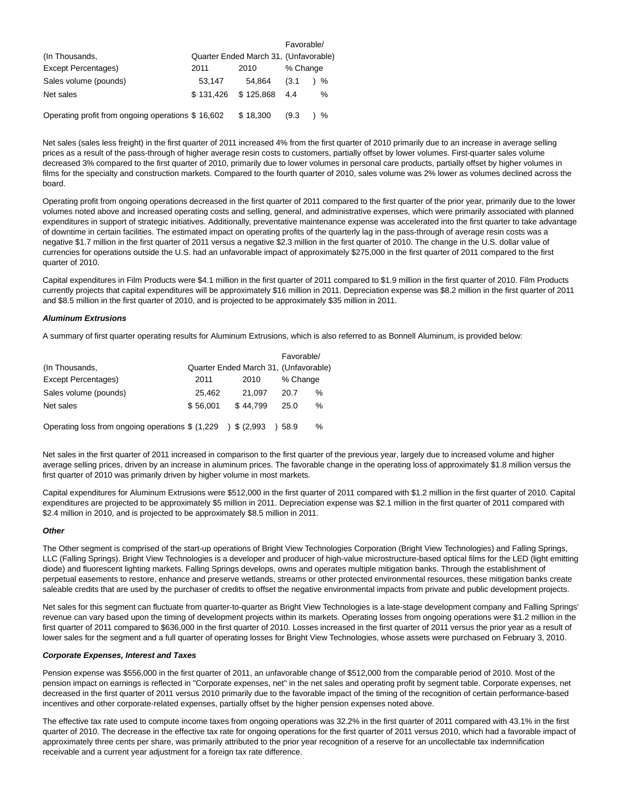|                                                   |           |                                       | Favorable/ |   |
|---------------------------------------------------|-----------|---------------------------------------|------------|---|
| (In Thousands,                                    |           | Quarter Ended March 31, (Unfavorable) |            |   |
| Except Percentages)                               | 2011      | 2010                                  | % Change   |   |
| Sales volume (pounds)                             | 53.147    | 54.864                                | (3.1)      | % |
| Net sales                                         | \$131.426 | \$125,868                             | 4.4        | % |
| Operating profit from ongoing operations \$16,602 |           | \$18,300                              | (9.3)      | % |

Net sales (sales less freight) in the first quarter of 2011 increased 4% from the first quarter of 2010 primarily due to an increase in average selling prices as a result of the pass-through of higher average resin costs to customers, partially offset by lower volumes. First-quarter sales volume decreased 3% compared to the first quarter of 2010, primarily due to lower volumes in personal care products, partially offset by higher volumes in films for the specialty and construction markets. Compared to the fourth quarter of 2010, sales volume was 2% lower as volumes declined across the board.

Operating profit from ongoing operations decreased in the first quarter of 2011 compared to the first quarter of the prior year, primarily due to the lower volumes noted above and increased operating costs and selling, general, and administrative expenses, which were primarily associated with planned expenditures in support of strategic initiatives. Additionally, preventative maintenance expense was accelerated into the first quarter to take advantage of downtime in certain facilities. The estimated impact on operating profits of the quarterly lag in the pass-through of average resin costs was a negative \$1.7 million in the first quarter of 2011 versus a negative \$2.3 million in the first quarter of 2010. The change in the U.S. dollar value of currencies for operations outside the U.S. had an unfavorable impact of approximately \$275,000 in the first quarter of 2011 compared to the first quarter of 2010.

Capital expenditures in Film Products were \$4.1 million in the first quarter of 2011 compared to \$1.9 million in the first quarter of 2010. Film Products currently projects that capital expenditures will be approximately \$16 million in 2011. Depreciation expense was \$8.2 million in the first quarter of 2011 and \$8.5 million in the first quarter of 2010, and is projected to be approximately \$35 million in 2011.

## **Aluminum Extrusions**

A summary of first quarter operating results for Aluminum Extrusions, which is also referred to as Bonnell Aluminum, is provided below:

|                                                                |          |                                       | Favorable/ |      |
|----------------------------------------------------------------|----------|---------------------------------------|------------|------|
| (In Thousands,                                                 |          | Quarter Ended March 31, (Unfavorable) |            |      |
| Except Percentages)                                            | 2011     | 2010                                  | % Change   |      |
| Sales volume (pounds)                                          | 25,462   | 21.097                                | 20.7       | %    |
| Net sales                                                      | \$56,001 | \$44.799                              | 25.0       | %    |
| Operating loss from ongoing operations $$ (1,229)$ $$ (2,993)$ |          |                                       | )58.9      | $\%$ |

Net sales in the first quarter of 2011 increased in comparison to the first quarter of the previous year, largely due to increased volume and higher average selling prices, driven by an increase in aluminum prices. The favorable change in the operating loss of approximately \$1.8 million versus the first quarter of 2010 was primarily driven by higher volume in most markets.

Capital expenditures for Aluminum Extrusions were \$512,000 in the first quarter of 2011 compared with \$1.2 million in the first quarter of 2010. Capital expenditures are projected to be approximately \$5 million in 2011. Depreciation expense was \$2.1 million in the first quarter of 2011 compared with \$2.4 million in 2010, and is projected to be approximately \$8.5 million in 2011.

### **Other**

The Other segment is comprised of the start-up operations of Bright View Technologies Corporation (Bright View Technologies) and Falling Springs, LLC (Falling Springs). Bright View Technologies is a developer and producer of high-value microstructure-based optical films for the LED (light emitting diode) and fluorescent lighting markets. Falling Springs develops, owns and operates multiple mitigation banks. Through the establishment of perpetual easements to restore, enhance and preserve wetlands, streams or other protected environmental resources, these mitigation banks create saleable credits that are used by the purchaser of credits to offset the negative environmental impacts from private and public development projects.

Net sales for this segment can fluctuate from quarter-to-quarter as Bright View Technologies is a late-stage development company and Falling Springs' revenue can vary based upon the timing of development projects within its markets. Operating losses from ongoing operations were \$1.2 million in the first quarter of 2011 compared to \$636,000 in the first quarter of 2010. Losses increased in the first quarter of 2011 versus the prior year as a result of lower sales for the segment and a full quarter of operating losses for Bright View Technologies, whose assets were purchased on February 3, 2010.

### **Corporate Expenses, Interest and Taxes**

Pension expense was \$556,000 in the first quarter of 2011, an unfavorable change of \$512,000 from the comparable period of 2010. Most of the pension impact on earnings is reflected in "Corporate expenses, net" in the net sales and operating profit by segment table. Corporate expenses, net decreased in the first quarter of 2011 versus 2010 primarily due to the favorable impact of the timing of the recognition of certain performance-based incentives and other corporate-related expenses, partially offset by the higher pension expenses noted above.

The effective tax rate used to compute income taxes from ongoing operations was 32.2% in the first quarter of 2011 compared with 43.1% in the first quarter of 2010. The decrease in the effective tax rate for ongoing operations for the first quarter of 2011 versus 2010, which had a favorable impact of approximately three cents per share, was primarily attributed to the prior year recognition of a reserve for an uncollectable tax indemnification receivable and a current year adjustment for a foreign tax rate difference.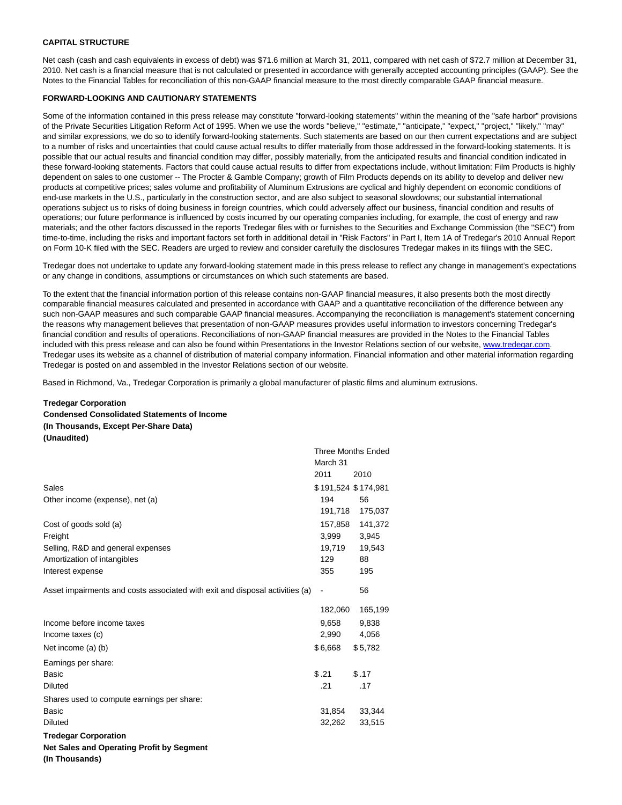# **CAPITAL STRUCTURE**

Net cash (cash and cash equivalents in excess of debt) was \$71.6 million at March 31, 2011, compared with net cash of \$72.7 million at December 31, 2010. Net cash is a financial measure that is not calculated or presented in accordance with generally accepted accounting principles (GAAP). See the Notes to the Financial Tables for reconciliation of this non-GAAP financial measure to the most directly comparable GAAP financial measure.

## **FORWARD-LOOKING AND CAUTIONARY STATEMENTS**

Some of the information contained in this press release may constitute "forward-looking statements" within the meaning of the "safe harbor" provisions of the Private Securities Litigation Reform Act of 1995. When we use the words "believe," "estimate," "anticipate," "expect," "project," "likely," "may" and similar expressions, we do so to identify forward-looking statements. Such statements are based on our then current expectations and are subject to a number of risks and uncertainties that could cause actual results to differ materially from those addressed in the forward-looking statements. It is possible that our actual results and financial condition may differ, possibly materially, from the anticipated results and financial condition indicated in these forward-looking statements. Factors that could cause actual results to differ from expectations include, without limitation: Film Products is highly dependent on sales to one customer -- The Procter & Gamble Company; growth of Film Products depends on its ability to develop and deliver new products at competitive prices; sales volume and profitability of Aluminum Extrusions are cyclical and highly dependent on economic conditions of end-use markets in the U.S., particularly in the construction sector, and are also subject to seasonal slowdowns; our substantial international operations subject us to risks of doing business in foreign countries, which could adversely affect our business, financial condition and results of operations; our future performance is influenced by costs incurred by our operating companies including, for example, the cost of energy and raw materials; and the other factors discussed in the reports Tredegar files with or furnishes to the Securities and Exchange Commission (the "SEC") from time-to-time, including the risks and important factors set forth in additional detail in "Risk Factors" in Part I, Item 1A of Tredegar's 2010 Annual Report on Form 10-K filed with the SEC. Readers are urged to review and consider carefully the disclosures Tredegar makes in its filings with the SEC.

Tredegar does not undertake to update any forward-looking statement made in this press release to reflect any change in management's expectations or any change in conditions, assumptions or circumstances on which such statements are based.

To the extent that the financial information portion of this release contains non-GAAP financial measures, it also presents both the most directly comparable financial measures calculated and presented in accordance with GAAP and a quantitative reconciliation of the difference between any such non-GAAP measures and such comparable GAAP financial measures. Accompanying the reconciliation is management's statement concerning the reasons why management believes that presentation of non-GAAP measures provides useful information to investors concerning Tredegar's financial condition and results of operations. Reconciliations of non-GAAP financial measures are provided in the Notes to the Financial Tables included with this press release and can also be found within Presentations in the Investor Relations section of our website, [www.tredegar.com.](http://www.tredegar.com/) Tredegar uses its website as a channel of distribution of material company information. Financial information and other material information regarding Tredegar is posted on and assembled in the Investor Relations section of our website.

Based in Richmond, Va., Tredegar Corporation is primarily a global manufacturer of plastic films and aluminum extrusions.

# **Tredegar Corporation Condensed Consolidated Statements of Income (In Thousands, Except Per-Share Data) (Unaudited)**

|                                                                              | <b>Three Months Ended</b> |         |
|------------------------------------------------------------------------------|---------------------------|---------|
|                                                                              | March 31                  |         |
|                                                                              | 2011                      | 2010    |
| Sales                                                                        | \$191,524 \$174,981       |         |
| Other income (expense), net (a)                                              | 194                       | 56      |
|                                                                              | 191,718                   | 175,037 |
| Cost of goods sold (a)                                                       | 157,858                   | 141,372 |
| Freight                                                                      | 3,999                     | 3,945   |
| Selling, R&D and general expenses                                            | 19,719                    | 19,543  |
| Amortization of intangibles                                                  | 129                       | 88      |
| Interest expense                                                             | 355                       | 195     |
| Asset impairments and costs associated with exit and disposal activities (a) | $\overline{\phantom{a}}$  | 56      |
|                                                                              | 182,060                   | 165,199 |
| Income before income taxes                                                   | 9,658                     | 9,838   |
| Income taxes (c)                                                             | 2,990                     | 4,056   |
| Net income (a) (b)                                                           | \$6,668                   | \$5,782 |
| Earnings per share:                                                          |                           |         |
| <b>Basic</b>                                                                 | \$.21                     | \$.17   |
| <b>Diluted</b>                                                               | .21                       | .17     |
| Shares used to compute earnings per share:                                   |                           |         |
| Basic                                                                        | 31,854                    | 33,344  |
| <b>Diluted</b>                                                               | 32,262                    | 33,515  |
| <b>Tredegar Corporation</b>                                                  |                           |         |
| Net Sales and Operating Profit by Segment                                    |                           |         |
|                                                                              |                           |         |

**(In Thousands)**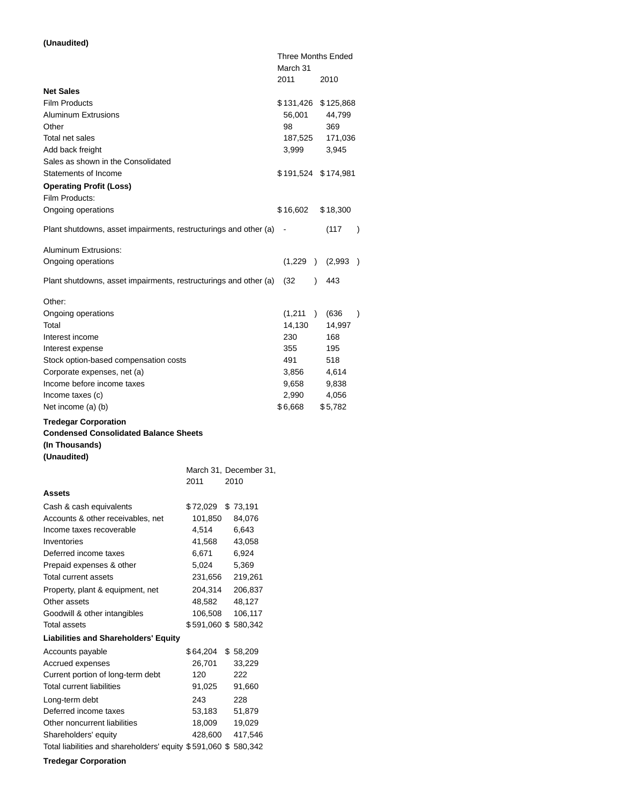# **(Unaudited)**

|                                                                                                                                                                                                                                                                                    |                                                                           |                                                                           |        | Three Months Ended                                                           |               |      |                                                                            |               |
|------------------------------------------------------------------------------------------------------------------------------------------------------------------------------------------------------------------------------------------------------------------------------------|---------------------------------------------------------------------------|---------------------------------------------------------------------------|--------|------------------------------------------------------------------------------|---------------|------|----------------------------------------------------------------------------|---------------|
|                                                                                                                                                                                                                                                                                    |                                                                           |                                                                           |        | March 31<br>2011                                                             |               | 2010 |                                                                            |               |
| <b>Net Sales</b><br><b>Film Products</b><br><b>Aluminum Extrusions</b><br>Other<br>Total net sales<br>Add back freight<br>Sales as shown in the Consolidated                                                                                                                       |                                                                           |                                                                           |        | \$ 131,426<br>56,001<br>98<br>187,525<br>3,999                               |               |      | \$125,868<br>44,799<br>369<br>171,036<br>3,945                             |               |
| Statements of Income<br><b>Operating Profit (Loss)</b>                                                                                                                                                                                                                             |                                                                           |                                                                           |        | \$191,524 \$174,981                                                          |               |      |                                                                            |               |
| Film Products:<br>Ongoing operations                                                                                                                                                                                                                                               |                                                                           |                                                                           |        | \$16,602                                                                     |               |      | \$18,300                                                                   |               |
| Plant shutdowns, asset impairments, restructurings and other (a)                                                                                                                                                                                                                   |                                                                           |                                                                           | $\sim$ |                                                                              |               |      | (117)                                                                      | $\lambda$     |
| Aluminum Extrusions:<br>Ongoing operations                                                                                                                                                                                                                                         |                                                                           |                                                                           |        | (1,229                                                                       | $\rightarrow$ |      | (2,993)                                                                    | $\mathcal{E}$ |
| Plant shutdowns, asset impairments, restructurings and other (a)                                                                                                                                                                                                                   |                                                                           |                                                                           |        | (32)                                                                         | $\mathcal{E}$ |      | 443                                                                        |               |
| Other:<br>Ongoing operations<br>Total<br>Interest income<br>Interest expense<br>Stock option-based compensation costs<br>Corporate expenses, net (a)<br>Income before income taxes<br>Income taxes (c)<br>Net income (a) (b)                                                       |                                                                           |                                                                           |        | (1,211)<br>14,130<br>230<br>355<br>491<br>3,856<br>9,658<br>2,990<br>\$6,668 |               |      | (636)<br>14,997<br>168<br>195<br>518<br>4,614<br>9,838<br>4,056<br>\$5,782 | $\mathcal{E}$ |
| <b>Tredegar Corporation</b><br><b>Condensed Consolidated Balance Sheets</b><br>(In Thousands)                                                                                                                                                                                      |                                                                           |                                                                           |        |                                                                              |               |      |                                                                            |               |
| (Unaudited)                                                                                                                                                                                                                                                                        |                                                                           | March 31, December 31,                                                    |        |                                                                              |               |      |                                                                            |               |
| Assets                                                                                                                                                                                                                                                                             | 2011                                                                      | 2010                                                                      |        |                                                                              |               |      |                                                                            |               |
| Cash & cash equivalents<br>Accounts & other receivables, net<br>Income taxes recoverable<br>Inventories<br>Deferred income taxes<br>Prepaid expenses & other<br>Total current assets                                                                                               | \$72,029<br>101,850<br>4,514<br>41,568<br>6,671<br>5,024                  | \$73,191<br>84,076<br>6,643<br>43,058<br>6,924<br>5,369                   |        |                                                                              |               |      |                                                                            |               |
| Property, plant & equipment, net<br>Other assets<br>Goodwill & other intangibles<br>Total assets                                                                                                                                                                                   | 231,656<br>204,314<br>48,582<br>106,508<br>\$591,060 \$580,342            | 219,261<br>206,837<br>48,127<br>106,117                                   |        |                                                                              |               |      |                                                                            |               |
| <b>Liabilities and Shareholders' Equity</b>                                                                                                                                                                                                                                        |                                                                           |                                                                           |        |                                                                              |               |      |                                                                            |               |
| Accounts payable<br>Accrued expenses<br>Current portion of long-term debt<br><b>Total current liabilities</b><br>Long-term debt<br>Deferred income taxes<br>Other noncurrent liabilities<br>Shareholders' equity<br>Total liabilities and shareholders' equity \$591,060 \$580,342 | \$64,204<br>26,701<br>120<br>91,025<br>243<br>53,183<br>18,009<br>428,600 | \$58,209<br>33,229<br>222<br>91,660<br>228<br>51,879<br>19,029<br>417,546 |        |                                                                              |               |      |                                                                            |               |
| <b>Tredegar Corporation</b>                                                                                                                                                                                                                                                        |                                                                           |                                                                           |        |                                                                              |               |      |                                                                            |               |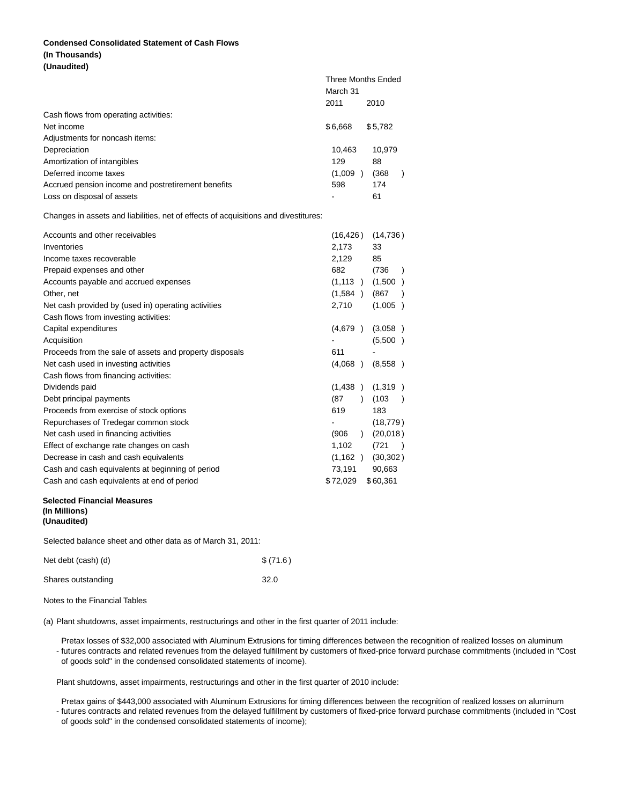# **Condensed Consolidated Statement of Cash Flows (In Thousands) (Unaudited)**

|                                                                                     | <b>Three Months Ended</b><br>March 31 |                         |
|-------------------------------------------------------------------------------------|---------------------------------------|-------------------------|
|                                                                                     | 2011                                  | 2010                    |
| Cash flows from operating activities:                                               |                                       |                         |
| Net income                                                                          | \$6,668                               | \$5,782                 |
| Adjustments for noncash items:                                                      |                                       |                         |
| Depreciation                                                                        | 10,463                                | 10,979                  |
| Amortization of intangibles                                                         | 129                                   | 88                      |
| Deferred income taxes                                                               | (1,009)                               | (368)<br>$\lambda$      |
| Accrued pension income and postretirement benefits                                  | 598                                   | 174                     |
| Loss on disposal of assets                                                          |                                       | 61                      |
| Changes in assets and liabilities, net of effects of acquisitions and divestitures: |                                       |                         |
| Accounts and other receivables                                                      | (16, 426)                             | (14, 736)               |
| Inventories                                                                         | 2,173                                 | 33                      |
| Income taxes recoverable                                                            | 2,129                                 | 85                      |
| Prepaid expenses and other                                                          | 682                                   | (736)<br>$\lambda$      |
| Accounts payable and accrued expenses                                               |                                       | $(1,113)$ $(1,500)$     |
| Other, net                                                                          | (1,584)                               | (867)                   |
| Net cash provided by (used in) operating activities                                 | 2,710                                 | (1,005)                 |
| Cash flows from investing activities:                                               |                                       |                         |
| Capital expenditures                                                                | (4,679)                               | (3,058)                 |
| Acquisition                                                                         |                                       | (5,500)                 |
| Proceeds from the sale of assets and property disposals                             | 611                                   |                         |
| Net cash used in investing activities                                               | (4,068)                               | (8,558)                 |
| Cash flows from financing activities:                                               |                                       |                         |
| Dividends paid                                                                      | (1,438)                               | (1,319)                 |
| Debt principal payments                                                             | (87)                                  | ) (103<br>$\rightarrow$ |
| Proceeds from exercise of stock options                                             | 619                                   | 183                     |
| Repurchases of Tredegar common stock                                                |                                       | (18, 779)               |
| Net cash used in financing activities                                               | (906)<br>$\lambda$                    | (20,018)                |
| Effect of exchange rate changes on cash                                             | 1,102                                 | (721)                   |

## **Selected Financial Measures (In Millions) (Unaudited)**

Selected balance sheet and other data as of March 31, 2011:

| Net debt (cash) (d) | \$(71.6) |
|---------------------|----------|
| Shares outstanding  | 32.0     |

Notes to the Financial Tables

(a) Plant shutdowns, asset impairments, restructurings and other in the first quarter of 2011 include:

Decrease in cash and cash equivalents (1,162 ) (30,302 ) Cash and cash equivalents at beginning of period 73,191 90,663 Cash and cash equivalents at end of period  $$72,029$  \$60,361

- futures contracts and related revenues from the delayed fulfillment by customers of fixed-price forward purchase commitments (included in "Cost Pretax losses of \$32,000 associated with Aluminum Extrusions for timing differences between the recognition of realized losses on aluminum of goods sold" in the condensed consolidated statements of income).

Plant shutdowns, asset impairments, restructurings and other in the first quarter of 2010 include:

- futures contracts and related revenues from the delayed fulfillment by customers of fixed-price forward purchase commitments (included in "Cost Pretax gains of \$443,000 associated with Aluminum Extrusions for timing differences between the recognition of realized losses on aluminum of goods sold" in the condensed consolidated statements of income);